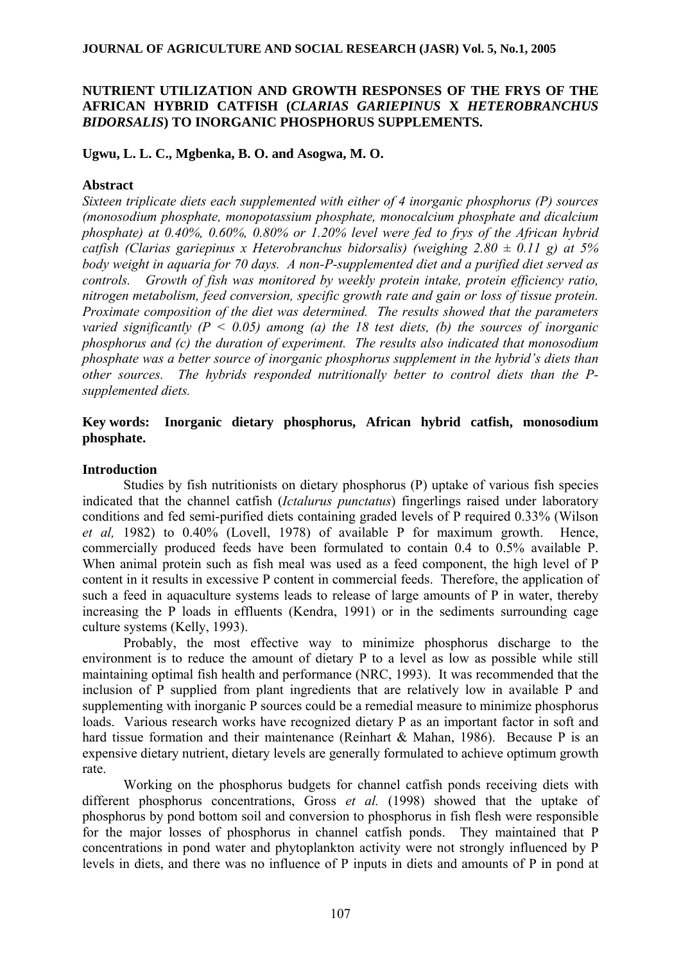# **NUTRIENT UTILIZATION AND GROWTH RESPONSES OF THE FRYS OF THE AFRICAN HYBRID CATFISH (***CLARIAS GARIEPINUS* **X** *HETEROBRANCHUS BIDORSALIS***) TO INORGANIC PHOSPHORUS SUPPLEMENTS.**

# **Ugwu, L. L. C., Mgbenka, B. O. and Asogwa, M. O.**

# **Abstract**

*Sixteen triplicate diets each supplemented with either of 4 inorganic phosphorus (P) sources (monosodium phosphate, monopotassium phosphate, monocalcium phosphate and dicalcium phosphate) at 0.40%, 0.60%, 0.80% or 1.20% level were fed to frys of the African hybrid catfish (Clarias gariepinus x Heterobranchus bidorsalis) (weighing 2.80 ± 0.11 g) at 5% body weight in aquaria for 70 days. A non-P-supplemented diet and a purified diet served as controls. Growth of fish was monitored by weekly protein intake, protein efficiency ratio, nitrogen metabolism, feed conversion, specific growth rate and gain or loss of tissue protein. Proximate composition of the diet was determined. The results showed that the parameters varied significantly (P < 0.05) among (a) the 18 test diets, (b) the sources of inorganic phosphorus and (c) the duration of experiment. The results also indicated that monosodium phosphate was a better source of inorganic phosphorus supplement in the hybrid's diets than other sources. The hybrids responded nutritionally better to control diets than the Psupplemented diets.* 

# **Key words: Inorganic dietary phosphorus, African hybrid catfish, monosodium phosphate.**

# **Introduction**

Studies by fish nutritionists on dietary phosphorus (P) uptake of various fish species indicated that the channel catfish (*Ictalurus punctatus*) fingerlings raised under laboratory conditions and fed semi-purified diets containing graded levels of P required 0.33% (Wilson *et al,* 1982) to 0.40% (Lovell, 1978) of available P for maximum growth. Hence, commercially produced feeds have been formulated to contain 0.4 to 0.5% available P. When animal protein such as fish meal was used as a feed component, the high level of P content in it results in excessive P content in commercial feeds. Therefore, the application of such a feed in aquaculture systems leads to release of large amounts of P in water, thereby increasing the P loads in effluents (Kendra, 1991) or in the sediments surrounding cage culture systems (Kelly, 1993).

Probably, the most effective way to minimize phosphorus discharge to the environment is to reduce the amount of dietary P to a level as low as possible while still maintaining optimal fish health and performance (NRC, 1993). It was recommended that the inclusion of P supplied from plant ingredients that are relatively low in available P and supplementing with inorganic P sources could be a remedial measure to minimize phosphorus loads. Various research works have recognized dietary P as an important factor in soft and hard tissue formation and their maintenance (Reinhart & Mahan, 1986). Because P is an expensive dietary nutrient, dietary levels are generally formulated to achieve optimum growth rate.

Working on the phosphorus budgets for channel catfish ponds receiving diets with different phosphorus concentrations, Gross *et al.* (1998) showed that the uptake of phosphorus by pond bottom soil and conversion to phosphorus in fish flesh were responsible for the major losses of phosphorus in channel catfish ponds. They maintained that P concentrations in pond water and phytoplankton activity were not strongly influenced by P levels in diets, and there was no influence of P inputs in diets and amounts of P in pond at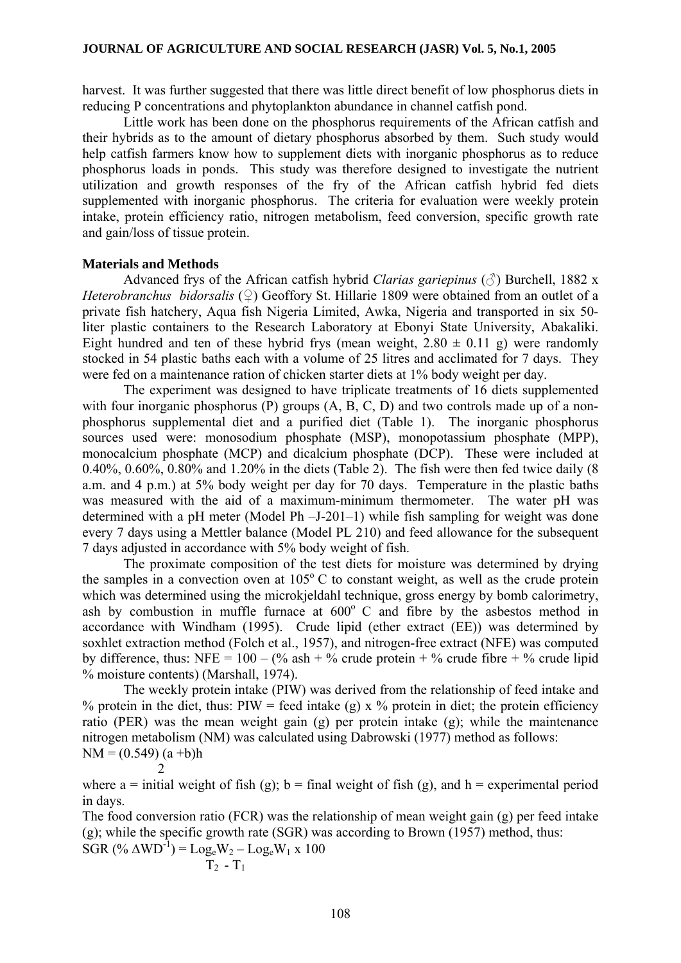harvest. It was further suggested that there was little direct benefit of low phosphorus diets in reducing P concentrations and phytoplankton abundance in channel catfish pond.

Little work has been done on the phosphorus requirements of the African catfish and their hybrids as to the amount of dietary phosphorus absorbed by them. Such study would help catfish farmers know how to supplement diets with inorganic phosphorus as to reduce phosphorus loads in ponds. This study was therefore designed to investigate the nutrient utilization and growth responses of the fry of the African catfish hybrid fed diets supplemented with inorganic phosphorus. The criteria for evaluation were weekly protein intake, protein efficiency ratio, nitrogen metabolism, feed conversion, specific growth rate and gain/loss of tissue protein.

## **Materials and Methods**

Advanced frys of the African catfish hybrid *Clarias gariepinus* (♂) Burchell, 1882 x *Heterobranchus bidorsalis* (♀) Geoffory St. Hillarie 1809 were obtained from an outlet of a private fish hatchery, Aqua fish Nigeria Limited, Awka, Nigeria and transported in six 50 liter plastic containers to the Research Laboratory at Ebonyi State University, Abakaliki. Eight hundred and ten of these hybrid frys (mean weight,  $2.80 \pm 0.11$  g) were randomly stocked in 54 plastic baths each with a volume of 25 litres and acclimated for 7 days. They were fed on a maintenance ration of chicken starter diets at 1% body weight per day.

The experiment was designed to have triplicate treatments of 16 diets supplemented with four inorganic phosphorus (P) groups  $(A, B, C, D)$  and two controls made up of a nonphosphorus supplemental diet and a purified diet (Table 1). The inorganic phosphorus sources used were: monosodium phosphate (MSP), monopotassium phosphate (MPP), monocalcium phosphate (MCP) and dicalcium phosphate (DCP). These were included at 0.40%, 0.60%, 0.80% and 1.20% in the diets (Table 2). The fish were then fed twice daily (8 a.m. and 4 p.m.) at 5% body weight per day for 70 days. Temperature in the plastic baths was measured with the aid of a maximum-minimum thermometer. The water pH was determined with a pH meter (Model Ph –J-201–1) while fish sampling for weight was done every 7 days using a Mettler balance (Model PL 210) and feed allowance for the subsequent 7 days adjusted in accordance with 5% body weight of fish.

The proximate composition of the test diets for moisture was determined by drying the samples in a convection oven at  $105^{\circ}$  C to constant weight, as well as the crude protein which was determined using the microkjeldahl technique, gross energy by bomb calorimetry, ash by combustion in muffle furnace at  $600^{\circ}$  C and fibre by the asbestos method in accordance with Windham (1995). Crude lipid (ether extract (EE)) was determined by soxhlet extraction method (Folch et al., 1957), and nitrogen-free extract (NFE) was computed by difference, thus: NFE =  $100 - (\%$  ash + % crude protein + % crude fibre + % crude lipid % moisture contents) (Marshall, 1974).

The weekly protein intake (PIW) was derived from the relationship of feed intake and % protein in the diet, thus: PIW = feed intake (g) x % protein in diet; the protein efficiency ratio (PER) was the mean weight gain (g) per protein intake (g); while the maintenance nitrogen metabolism (NM) was calculated using Dabrowski (1977) method as follows:  $NM = (0.549) (a + b)h$ 

$$
\begin{array}{c} 2 \\ 2 \end{array}
$$

where a = initial weight of fish (g); b = final weight of fish (g), and h = experimental period in days.

The food conversion ratio (FCR) was the relationship of mean weight gain (g) per feed intake (g); while the specific growth rate (SGR) was according to Brown (1957) method, thus: SGR  $(^{\circ}\!\!/\!\!\delta \Delta W D^{-1}) = Log_eW_2 - Log_eW_1 \times 100$ 

$$
T_2 - T_1
$$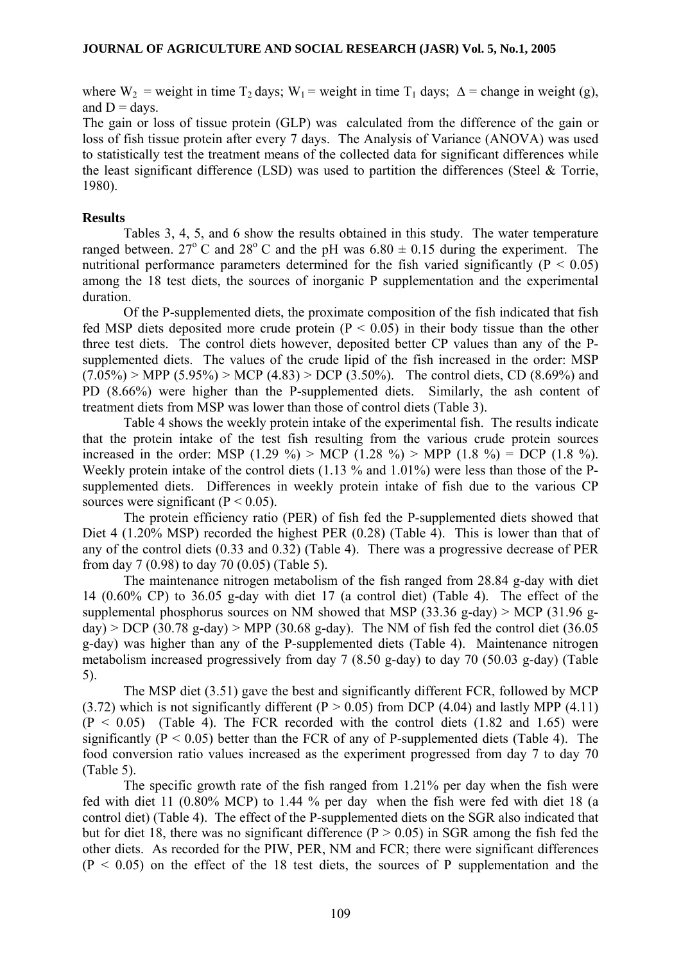where  $W_2$  = weight in time  $T_2$  days;  $W_1$  = weight in time  $T_1$  days;  $\Delta$  = change in weight (g), and  $D =$  days.

The gain or loss of tissue protein (GLP) was calculated from the difference of the gain or loss of fish tissue protein after every 7 days. The Analysis of Variance (ANOVA) was used to statistically test the treatment means of the collected data for significant differences while the least significant difference (LSD) was used to partition the differences (Steel & Torrie, 1980).

# **Results**

Tables 3, 4, 5, and 6 show the results obtained in this study. The water temperature ranged between. 27<sup>o</sup> C and 28<sup>o</sup> C and the pH was  $6.80 \pm 0.15$  during the experiment. The nutritional performance parameters determined for the fish varied significantly ( $P < 0.05$ ) among the 18 test diets, the sources of inorganic P supplementation and the experimental duration.

Of the P-supplemented diets, the proximate composition of the fish indicated that fish fed MSP diets deposited more crude protein ( $P < 0.05$ ) in their body tissue than the other three test diets. The control diets however, deposited better CP values than any of the Psupplemented diets. The values of the crude lipid of the fish increased in the order: MSP  $(7.05\%)$  > MPP  $(5.95\%)$  > MCP  $(4.83)$  > DCP  $(3.50\%)$ . The control diets, CD  $(8.69\%)$  and PD (8.66%) were higher than the P-supplemented diets. Similarly, the ash content of treatment diets from MSP was lower than those of control diets (Table 3).

Table 4 shows the weekly protein intake of the experimental fish. The results indicate that the protein intake of the test fish resulting from the various crude protein sources increased in the order: MSP (1.29 %) > MCP (1.28 %) > MPP (1.8 %) = DCP (1.8 %). Weekly protein intake of the control diets (1.13 % and 1.01%) were less than those of the Psupplemented diets. Differences in weekly protein intake of fish due to the various CP sources were significant ( $P < 0.05$ ).

The protein efficiency ratio (PER) of fish fed the P-supplemented diets showed that Diet 4 (1.20% MSP) recorded the highest PER (0.28) (Table 4). This is lower than that of any of the control diets (0.33 and 0.32) (Table 4). There was a progressive decrease of PER from day 7 (0.98) to day 70 (0.05) (Table 5).

The maintenance nitrogen metabolism of the fish ranged from 28.84 g-day with diet 14 (0.60% CP) to 36.05 g-day with diet 17 (a control diet) (Table 4). The effect of the supplemental phosphorus sources on NM showed that MSP (33.36 g-day)  $>$  MCP (31.96 g $day$ ) > DCP (30.78 g-day) > MPP (30.68 g-day). The NM of fish fed the control diet (36.05 g-day) was higher than any of the P-supplemented diets (Table 4). Maintenance nitrogen metabolism increased progressively from day 7 (8.50 g-day) to day 70 (50.03 g-day) (Table 5).

The MSP diet (3.51) gave the best and significantly different FCR, followed by MCP (3.72) which is not significantly different ( $P > 0.05$ ) from DCP (4.04) and lastly MPP (4.11)  $(P < 0.05)$  (Table 4). The FCR recorded with the control diets  $(1.82 \text{ and } 1.65)$  were significantly ( $P \le 0.05$ ) better than the FCR of any of P-supplemented diets (Table 4). The food conversion ratio values increased as the experiment progressed from day 7 to day 70 (Table 5).

The specific growth rate of the fish ranged from 1.21% per day when the fish were fed with diet 11 (0.80% MCP) to 1.44 % per day when the fish were fed with diet 18 (a control diet) (Table 4). The effect of the P-supplemented diets on the SGR also indicated that but for diet 18, there was no significant difference ( $P > 0.05$ ) in SGR among the fish fed the other diets. As recorded for the PIW, PER, NM and FCR; there were significant differences  $(P < 0.05)$  on the effect of the 18 test diets, the sources of P supplementation and the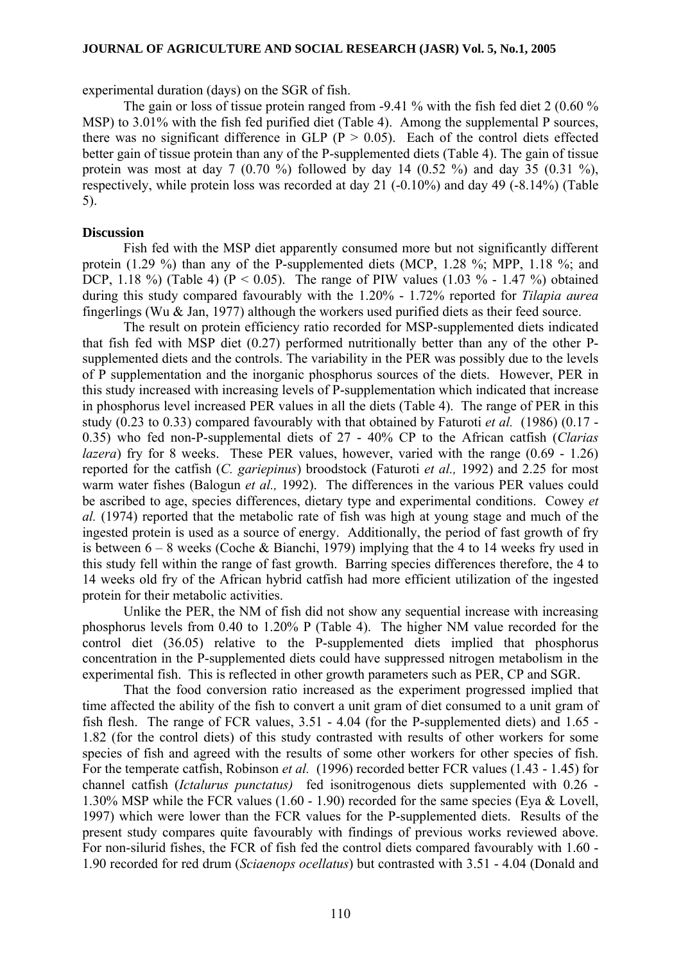experimental duration (days) on the SGR of fish.

The gain or loss of tissue protein ranged from -9.41 % with the fish fed diet 2 (0.60 % MSP) to 3.01% with the fish fed purified diet (Table 4). Among the supplemental P sources, there was no significant difference in GLP ( $P > 0.05$ ). Each of the control diets effected better gain of tissue protein than any of the P-supplemented diets (Table 4). The gain of tissue protein was most at day 7 (0.70 %) followed by day 14 (0.52 %) and day 35 (0.31 %), respectively, while protein loss was recorded at day 21 (-0.10%) and day 49 (-8.14%) (Table 5).

### **Discussion**

Fish fed with the MSP diet apparently consumed more but not significantly different protein (1.29 %) than any of the P-supplemented diets (MCP, 1.28 %; MPP, 1.18 %; and DCP, 1.18 %) (Table 4) ( $P < 0.05$ ). The range of PIW values (1.03 % - 1.47 %) obtained during this study compared favourably with the 1.20% - 1.72% reported for *Tilapia aurea*  fingerlings (Wu & Jan, 1977) although the workers used purified diets as their feed source.

The result on protein efficiency ratio recorded for MSP-supplemented diets indicated that fish fed with MSP diet (0.27) performed nutritionally better than any of the other Psupplemented diets and the controls. The variability in the PER was possibly due to the levels of P supplementation and the inorganic phosphorus sources of the diets. However, PER in this study increased with increasing levels of P-supplementation which indicated that increase in phosphorus level increased PER values in all the diets (Table 4). The range of PER in this study (0.23 to 0.33) compared favourably with that obtained by Faturoti *et al.* (1986) (0.17 - 0.35) who fed non-P-supplemental diets of 27 - 40% CP to the African catfish (*Clarias lazera*) fry for 8 weeks. These PER values, however, varied with the range (0.69 - 1.26) reported for the catfish (*C. gariepinus*) broodstock (Faturoti *et al.,* 1992) and 2.25 for most warm water fishes (Balogun *et al.,* 1992). The differences in the various PER values could be ascribed to age, species differences, dietary type and experimental conditions. Cowey *et al.* (1974) reported that the metabolic rate of fish was high at young stage and much of the ingested protein is used as a source of energy. Additionally, the period of fast growth of fry is between  $6 - 8$  weeks (Coche & Bianchi, 1979) implying that the 4 to 14 weeks fry used in this study fell within the range of fast growth. Barring species differences therefore, the 4 to 14 weeks old fry of the African hybrid catfish had more efficient utilization of the ingested protein for their metabolic activities.

Unlike the PER, the NM of fish did not show any sequential increase with increasing phosphorus levels from 0.40 to 1.20% P (Table 4). The higher NM value recorded for the control diet (36.05) relative to the P-supplemented diets implied that phosphorus concentration in the P-supplemented diets could have suppressed nitrogen metabolism in the experimental fish. This is reflected in other growth parameters such as PER, CP and SGR.

That the food conversion ratio increased as the experiment progressed implied that time affected the ability of the fish to convert a unit gram of diet consumed to a unit gram of fish flesh. The range of FCR values, 3.51 - 4.04 (for the P-supplemented diets) and 1.65 - 1.82 (for the control diets) of this study contrasted with results of other workers for some species of fish and agreed with the results of some other workers for other species of fish. For the temperate catfish, Robinson *et al.* (1996) recorded better FCR values (1.43 - 1.45) for channel catfish (*Ictalurus punctatus)* fed isonitrogenous diets supplemented with 0.26 - 1.30% MSP while the FCR values (1.60 - 1.90) recorded for the same species (Eya & Lovell, 1997) which were lower than the FCR values for the P-supplemented diets. Results of the present study compares quite favourably with findings of previous works reviewed above. For non-silurid fishes, the FCR of fish fed the control diets compared favourably with 1.60 - 1.90 recorded for red drum (*Sciaenops ocellatus*) but contrasted with 3.51 - 4.04 (Donald and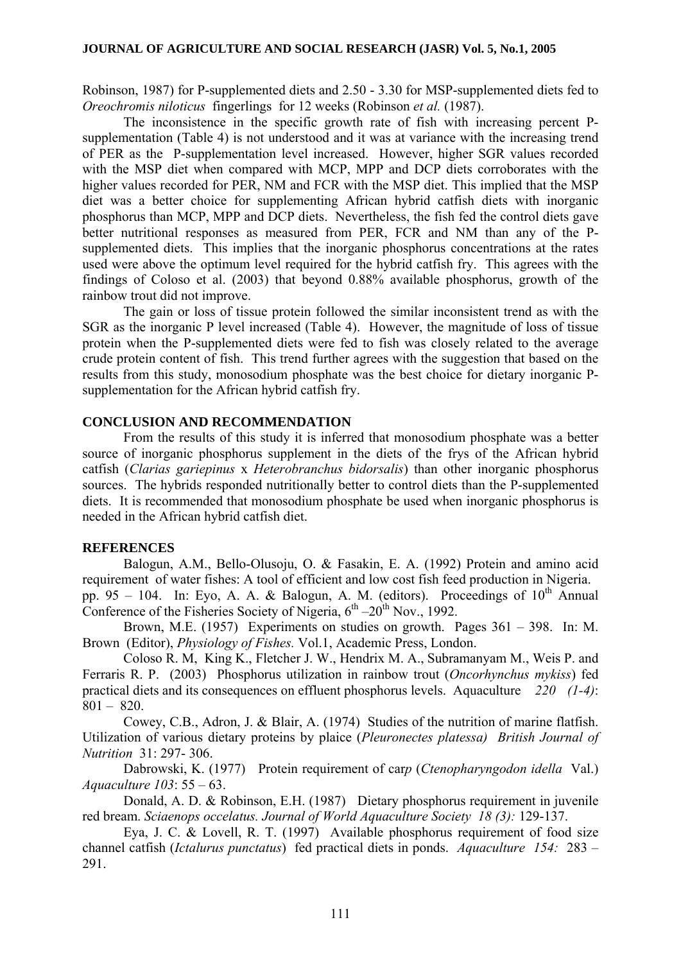Robinson, 1987) for P-supplemented diets and 2.50 - 3.30 for MSP-supplemented diets fed to *Oreochromis niloticus* fingerlings for 12 weeks (Robinson *et al.* (1987).

The inconsistence in the specific growth rate of fish with increasing percent Psupplementation (Table 4) is not understood and it was at variance with the increasing trend of PER as the P-supplementation level increased. However, higher SGR values recorded with the MSP diet when compared with MCP, MPP and DCP diets corroborates with the higher values recorded for PER, NM and FCR with the MSP diet. This implied that the MSP diet was a better choice for supplementing African hybrid catfish diets with inorganic phosphorus than MCP, MPP and DCP diets. Nevertheless, the fish fed the control diets gave better nutritional responses as measured from PER, FCR and NM than any of the Psupplemented diets. This implies that the inorganic phosphorus concentrations at the rates used were above the optimum level required for the hybrid catfish fry. This agrees with the findings of Coloso et al. (2003) that beyond 0.88% available phosphorus, growth of the rainbow trout did not improve.

The gain or loss of tissue protein followed the similar inconsistent trend as with the SGR as the inorganic P level increased (Table 4). However, the magnitude of loss of tissue protein when the P-supplemented diets were fed to fish was closely related to the average crude protein content of fish. This trend further agrees with the suggestion that based on the results from this study, monosodium phosphate was the best choice for dietary inorganic Psupplementation for the African hybrid catfish fry.

# **CONCLUSION AND RECOMMENDATION**

From the results of this study it is inferred that monosodium phosphate was a better source of inorganic phosphorus supplement in the diets of the frys of the African hybrid catfish (*Clarias gariepinus* x *Heterobranchus bidorsalis*) than other inorganic phosphorus sources. The hybrids responded nutritionally better to control diets than the P-supplemented diets. It is recommended that monosodium phosphate be used when inorganic phosphorus is needed in the African hybrid catfish diet.

### **REFERENCES**

Balogun, A.M., Bello-Olusoju, O. & Fasakin, E. A. (1992) Protein and amino acid requirement of water fishes: A tool of efficient and low cost fish feed production in Nigeria. pp. 95 – 104. In: Eyo, A. A. & Balogun, A. M. (editors). Proceedings of  $10^{th}$  Annual Conference of the Fisheries Society of Nigeria,  $6<sup>th</sup> - 20<sup>th</sup>$  Nov., 1992.

Brown, M.E. (1957) Experiments on studies on growth. Pages 361 – 398. In: M. Brown (Editor), *Physiology of Fishes.* Vol.1, Academic Press, London.

 Coloso R. M, King K., Fletcher J. W., Hendrix M. A., Subramanyam M., Weis P. and Ferraris R. P. (2003) Phosphorus utilization in rainbow trout (*Oncorhynchus mykiss*) fed practical diets and its consequences on effluent phosphorus levels. Aquaculture *220 (1-4)*:  $801 - 820$ .

Cowey, C.B., Adron, J. & Blair, A. (1974) Studies of the nutrition of marine flatfish. Utilization of various dietary proteins by plaice (*Pleuronectes platessa) British Journal of Nutrition* 31: 297- 306.

Dabrowski, K. (1977) Protein requirement of car*p* (*Ctenopharyngodon idella* Val.) *Aquaculture 103*: 55 – 63.

Donald, A. D. & Robinson, E.H. (1987) Dietary phosphorus requirement in juvenile red bream. *Sciaenops occelatus. Journal of World Aquaculture Society 18 (3):* 129-137.

Eya, J. C. & Lovell, R. T. (1997) Available phosphorus requirement of food size channel catfish (*Ictalurus punctatus*) fed practical diets in ponds. *Aquaculture 154:* 283 – 291.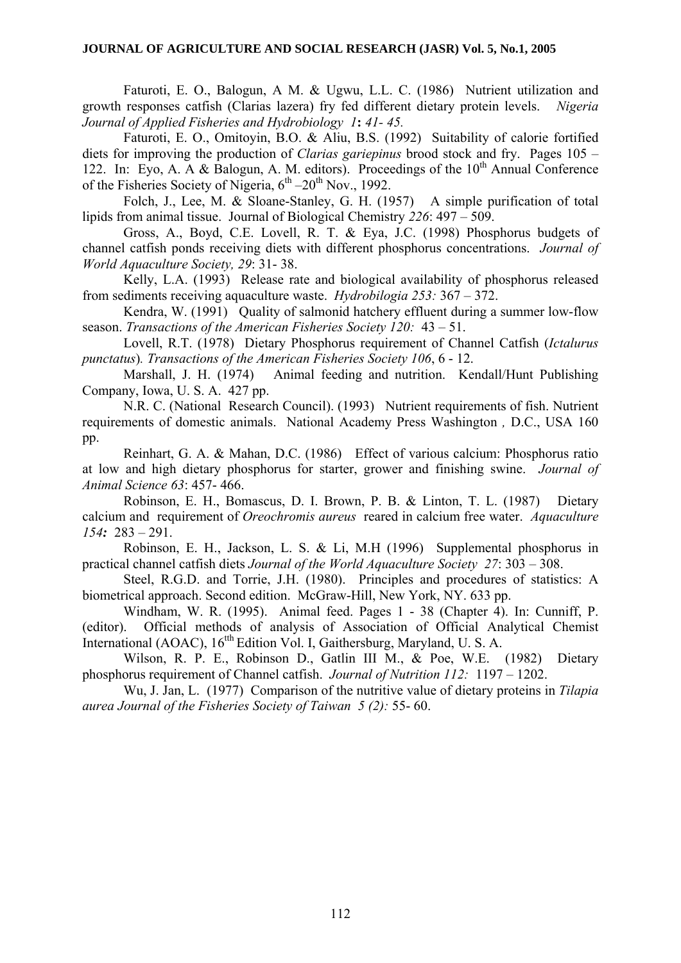### **JOURNAL OF AGRICULTURE AND SOCIAL RESEARCH (JASR) Vol. 5, No.1, 2005**

Faturoti, E. O., Balogun, A M. & Ugwu, L.L. C. (1986) Nutrient utilization and growth responses catfish (Clarias lazera) fry fed different dietary protein levels. *Nigeria Journal of Applied Fisheries and Hydrobiology 1***:** *41- 45.* 

Faturoti, E. O., Omitoyin, B.O. & Aliu, B.S. (1992) Suitability of calorie fortified diets for improving the production of *Clarias gariepinus* brood stock and fry. Pages 105 – 122. In: Eyo, A. A & Balogun, A. M. editors). Proceedings of the  $10<sup>th</sup>$  Annual Conference of the Fisheries Society of Nigeria,  $6<sup>th</sup> - 20<sup>th</sup>$  Nov., 1992.

Folch, J., Lee, M. & Sloane-Stanley, G. H. (1957) A simple purification of total lipids from animal tissue. Journal of Biological Chemistry *226*: 497 – 509.

Gross, A., Boyd, C.E. Lovell, R. T. & Eya, J.C. (1998) Phosphorus budgets of channel catfish ponds receiving diets with different phosphorus concentrations. *Journal of World Aquaculture Society, 29*: 31- 38.

Kelly, L.A. (1993) Release rate and biological availability of phosphorus released from sediments receiving aquaculture waste. *Hydrobilogia 253:* 367 – 372.

Kendra, W. (1991) Quality of salmonid hatchery effluent during a summer low-flow season. *Transactions of the American Fisheries Society 120:* 43 – 51.

Lovell, R.T. (1978) Dietary Phosphorus requirement of Channel Catfish (*Ictalurus punctatus*)*. Transactions of the American Fisheries Society 106*, 6 - 12.

Marshall, J. H. (1974) Animal feeding and nutrition. Kendall/Hunt Publishing Company, Iowa, U. S. A. 427 pp.

N.R. C. (National Research Council). (1993) Nutrient requirements of fish. Nutrient requirements of domestic animals. National Academy Press Washington *,* D.C., USA 160 pp.

Reinhart, G. A. & Mahan, D.C. (1986) Effect of various calcium: Phosphorus ratio at low and high dietary phosphorus for starter, grower and finishing swine. *Journal of Animal Science 63*: 457- 466.

Robinson, E. H., Bomascus, D. I. Brown, P. B. & Linton, T. L. (1987) Dietary calcium and requirement of *Oreochromis aureus* reared in calcium free water. *Aquaculture 154:* 283 – 291.

Robinson, E. H., Jackson, L. S. & Li, M.H (1996) Supplemental phosphorus in practical channel catfish diets *Journal of the World Aquaculture Society 27*: 303 – 308.

Steel, R.G.D. and Torrie, J.H. (1980). Principles and procedures of statistics: A biometrical approach. Second edition. McGraw-Hill, New York, NY. 633 pp.

Windham, W. R. (1995). Animal feed. Pages 1 - 38 (Chapter 4). In: Cunniff, P. (editor). Official methods of analysis of Association of Official Analytical Chemist International (AOAC), 16<sup>tth</sup> Edition Vol. I, Gaithersburg, Maryland, U. S. A.

Wilson, R. P. E., Robinson D., Gatlin III M., & Poe, W.E. (1982) Dietary phosphorus requirement of Channel catfish. *Journal of Nutrition 112:* 1197 – 1202.

Wu, J. Jan, L. (1977) Comparison of the nutritive value of dietary proteins in *Tilapia aurea Journal of the Fisheries Society of Taiwan 5 (2):* 55- 60.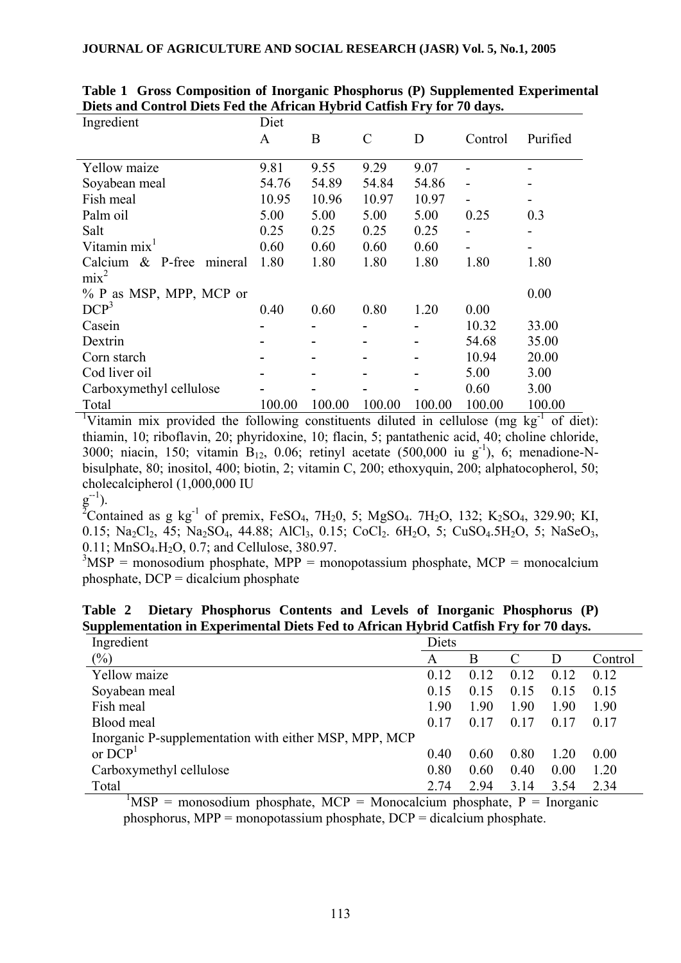| Ingredient                        | Diet   |        |               |        |         |          |
|-----------------------------------|--------|--------|---------------|--------|---------|----------|
|                                   | A      | B      | $\mathcal{C}$ | D      | Control | Purified |
|                                   |        |        |               |        |         |          |
| Yellow maize                      | 9.81   | 9.55   | 9.29          | 9.07   |         |          |
| Soyabean meal                     | 54.76  | 54.89  | 54.84         | 54.86  |         |          |
| Fish meal                         | 10.95  | 10.96  | 10.97         | 10.97  |         |          |
| Palm oil                          | 5.00   | 5.00   | 5.00          | 5.00   | 0.25    | 0.3      |
| Salt                              | 0.25   | 0.25   | 0.25          | 0.25   |         |          |
| Vitamin mix                       | 0.60   | 0.60   | 0.60          | 0.60   |         |          |
| $\&$ P-free<br>Calcium<br>mineral | 1.80   | 1.80   | 1.80          | 1.80   | 1.80    | 1.80     |
| $mix^2$                           |        |        |               |        |         |          |
| % P as MSP, MPP, MCP or           |        |        |               |        |         | 0.00     |
| DCP <sup>3</sup>                  | 0.40   | 0.60   | 0.80          | 1.20   | 0.00    |          |
| Casein                            |        |        |               |        | 10.32   | 33.00    |
| Dextrin                           |        |        |               |        | 54.68   | 35.00    |
| Corn starch                       |        |        |               |        | 10.94   | 20.00    |
| Cod liver oil                     |        |        |               |        | 5.00    | 3.00     |
| Carboxymethyl cellulose           |        |        |               |        | 0.60    | 3.00     |
| Total                             | 100.00 | 100.00 | 100.00        | 100.00 | 100.00  | 100.00   |

**Table 1 Gross Composition of Inorganic Phosphorus (P) Supplemented Experimental Diets and Control Diets Fed the African Hybrid Catfish Fry for 70 days.** 

<sup>1</sup>Vitamin mix provided the following constituents diluted in cellulose (mg kg<sup>-1</sup> of diet): thiamin, 10; riboflavin, 20; phyridoxine, 10; flacin, 5; pantathenic acid, 40; choline chloride, 3000; niacin, 150; vitamin  $B_{12}$ , 0.06; retinyl acetate (500,000 iu g<sup>-1</sup>), 6; menadione-Nbisulphate, 80; inositol, 400; biotin, 2; vitamin C, 200; ethoxyquin, 200; alphatocopherol, 50; cholecalcipherol (1,000,000 IU

 $g^{-1}$ ).

<sup>2</sup>Contained as g kg<sup>-1</sup> of premix, FeSO<sub>4</sub>, 7H<sub>2</sub>0, 5; MgSO<sub>4</sub>. 7H<sub>2</sub>O, 132; K<sub>2</sub>SO<sub>4</sub>, 329.90; KI, 0.15; Na<sub>2</sub>Cl<sub>2</sub>, 45; Na<sub>2</sub>SO<sub>4</sub>, 44.88; AlCl<sub>3</sub>, 0.15; CoCl<sub>2</sub>. 6H<sub>2</sub>O, 5; CuSO<sub>4</sub>.5H<sub>2</sub>O, 5; NaSeO<sub>3</sub>,  $0.11$ ; MnSO<sub>4</sub>.H<sub>2</sub>O, 0.7; and Cellulose, 380.97.

 $3\text{MSP}$  = monosodium phosphate, MPP = monopotassium phosphate, MCP = monocalcium phosphate, DCP = dicalcium phosphate

**Table 2 Dietary Phosphorus Contents and Levels of Inorganic Phosphorus (P) Supplementation in Experimental Diets Fed to African Hybrid Catfish Fry for 70 days.** 

| Ingredient                                            | Diets |      |               |      |         |
|-------------------------------------------------------|-------|------|---------------|------|---------|
| $(\%)$                                                | Α     | В    | $\mathcal{C}$ | D    | Control |
| Yellow maize                                          | 0.12  | 0.12 | 0.12          | 0.12 | 0.12    |
| Soyabean meal                                         | 0.15  | 0.15 | 0.15          | 0.15 | 0.15    |
| Fish meal                                             | 1.90  | 1.90 | 1.90          | 1.90 | 1.90    |
| Blood meal                                            | 0.17  | 0.17 | 0.17          | 0.17 | 0.17    |
| Inorganic P-supplementation with either MSP, MPP, MCP |       |      |               |      |         |
| or $DCP1$                                             | 0.40  | 0.60 | 0.80          | 1.20 | 0.00    |
| Carboxymethyl cellulose                               | 0.80  | 0.60 | 0.40          | 0.00 | 1.20    |
| Total                                                 | 2.74  | 2.94 | 3.14          | 3.54 | 2.34    |

 $MSP =$  monosodium phosphate, MCP = Monocalcium phosphate, P = Inorganic phosphorus, MPP = monopotassium phosphate,  $DCP =$  dicalcium phosphate.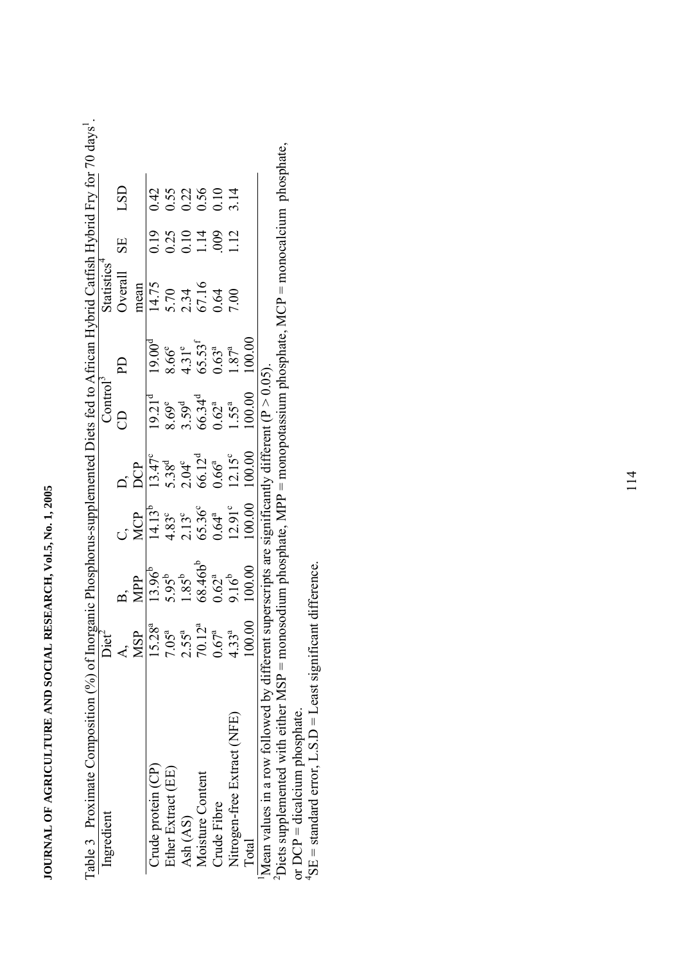| Ingredient                                           | Diet <sup>2</sup> |                                                                                                |                                                                        |                                                                                                | Control <sup>3</sup>                                                             |                                                                                               | Statistics <sup>4</sup>                                |                                                |                                                                               |
|------------------------------------------------------|-------------------|------------------------------------------------------------------------------------------------|------------------------------------------------------------------------|------------------------------------------------------------------------------------------------|----------------------------------------------------------------------------------|-----------------------------------------------------------------------------------------------|--------------------------------------------------------|------------------------------------------------|-------------------------------------------------------------------------------|
|                                                      |                   |                                                                                                |                                                                        |                                                                                                | A                                                                                | $\mathbf{D}$                                                                                  | Overall                                                | <b>SE</b>                                      | LSD                                                                           |
|                                                      | MSP               | <b>MPP</b>                                                                                     | ្<br>VC<br>X                                                           | DCP                                                                                            |                                                                                  |                                                                                               | mean                                                   |                                                |                                                                               |
| Crude protein $(CP)$                                 | $15.28^{a}$       |                                                                                                |                                                                        |                                                                                                |                                                                                  |                                                                                               |                                                        |                                                | 0.42                                                                          |
| Ether Extract (EE)                                   | $7.05^{a}$        |                                                                                                |                                                                        |                                                                                                |                                                                                  |                                                                                               |                                                        |                                                |                                                                               |
| Ash (AS)                                             | $2.55^{a}$        |                                                                                                |                                                                        |                                                                                                |                                                                                  |                                                                                               |                                                        |                                                |                                                                               |
| Moisture Content                                     | $70.12^{a}$       | $13.96b$<br>5.95 <sup>b</sup><br>1.85 <sup>b</sup><br>68.46b <sup>b</sup><br>9.16 <sup>b</sup> | $14.13^{15}$<br>$4.83^{3}$<br>$2.13^{6}$<br>$65.36^{a}$<br>$12.91^{c}$ | $13.47^e$<br>5.38 <sup>d</sup><br>2.04 <sup>c</sup><br>66.12 <sup>d</sup><br>0.66 <sup>a</sup> | $19.21d$<br>8.69°<br>8.59 <sup>d</sup><br>6.62 <sup>a</sup><br>1.55 <sup>a</sup> | $19.00d$<br>8.66 <sup>e</sup><br>4.31 <sup>e</sup><br>65.53 <sup>f</sup><br>1.87 <sup>a</sup> | $\frac{14.75}{5.70}$<br>5.70<br>67.16<br>67.16<br>7.00 | $0.19$<br>$0.25$<br>$0.11$<br>$0.14$<br>$0.09$ | $\begin{array}{c} 0.55 \\ 0.22 \\ 0.56 \\ 0.10 \\ 3.14 \end{array}$           |
| Crude Fibre                                          | $0.67^{a}$        |                                                                                                |                                                                        |                                                                                                |                                                                                  |                                                                                               |                                                        |                                                |                                                                               |
| Nitrogen-free Extract (NFE)                          | $4.33^{a}$        |                                                                                                |                                                                        |                                                                                                |                                                                                  |                                                                                               |                                                        | 1.12                                           |                                                                               |
| <b>Total</b>                                         | 00.00             | 100.00                                                                                         | 100.00                                                                 | 100.00                                                                                         | 100.00                                                                           | 00.00                                                                                         |                                                        |                                                |                                                                               |
| Mean values in a row followed by different su        |                   | uperscripts are significantly different ( $P > 0.05$ ).                                        |                                                                        |                                                                                                |                                                                                  |                                                                                               |                                                        |                                                |                                                                               |
| $\epsilon$ Diets supplemented with either MSP = mono |                   |                                                                                                |                                                                        |                                                                                                |                                                                                  |                                                                                               |                                                        |                                                | sodium phosphate, MPP = monopotassium phosphate, MCP = monocalcium phosphate, |

 $y$ s<sup>1</sup>.

**JOURNAL OF AGRICULTURE AND SOCIAL RESEARCH, Vol.5, No. 1, 2005** 

JOURNAL OF AGRICULTURE AND SOCIAL RESEARCH, Vol.5, No. 1, 2005

"Mean values in a row rollowed by different superscripts are significantly different ( $P > 0.05$ ).<br><sup>2</sup>Diets supplemented with either MSP = monosodium phosphate, MPP = monopotassium phosphate, MCP = monocalcium phosphate,<br>o or DCP = dicalcium phosphate.

 $^{4}$ SE = standard error, L.S.D = Least significant difference.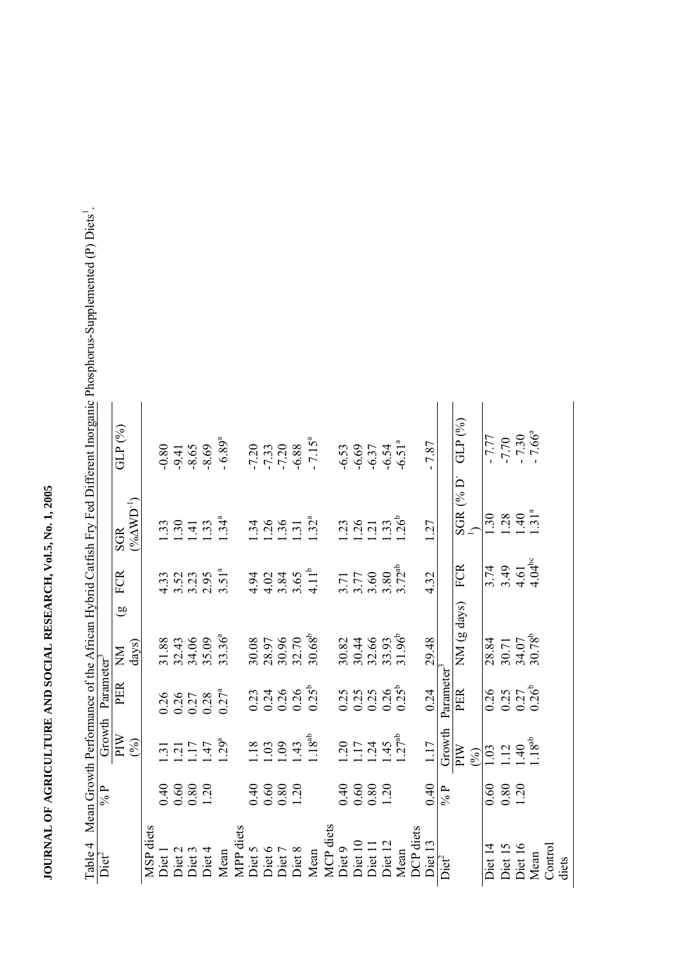| T. on Dunnen und Emme Tunden                   |                                                     |           |                               |                                                                                    |                                                                          |                                                   |                      |                                                         |                                                                                 |           |        |                                                         |                                                                          |                      |                   |                                                            |                                                         |                    |                                          |                  |
|------------------------------------------------|-----------------------------------------------------|-----------|-------------------------------|------------------------------------------------------------------------------------|--------------------------------------------------------------------------|---------------------------------------------------|----------------------|---------------------------------------------------------|---------------------------------------------------------------------------------|-----------|--------|---------------------------------------------------------|--------------------------------------------------------------------------|----------------------|-------------------|------------------------------------------------------------|---------------------------------------------------------|--------------------|------------------------------------------|------------------|
|                                                | GLP <sup>(%)</sup>                                  |           | $-9.41$<br>$-9.45$<br>$-8.69$ |                                                                                    | $-6.89^{a}$                                                              |                                                   |                      | $-7.33$<br>$-7.33$<br>$-6.88$                           | $-7.15^{a}$                                                                     |           |        |                                                         | $6.53$<br>$6.69$<br>$6.37$<br>$6.51$ <sup>a</sup><br>$6.51$ <sup>a</sup> | 7.87                 |                   | GLP(%)                                                     | $\frac{17.77}{7.70}$<br>1.70<br>66 <sup>a</sup>         |                    |                                          |                  |
|                                                | $(^9\!\delta\!\Delta {\rm WD}^1)$<br>SGR            |           | $399 - 39$                    |                                                                                    | .34 <sup>a</sup>                                                         |                                                   |                      | $\frac{3}{4}$ $\frac{3}{4}$ $\frac{6}{4}$ $\frac{5}{4}$ | .32 <sup>a</sup>                                                                |           | 23     | 39.796                                                  |                                                                          | 1.27                 |                   | $\frac{\textrm{SGR}~(\%~\textrm{D}^{\circ}}{\textrm{I}_1}$ | 30                                                      |                    | $28$<br>$49$<br>$7$<br>$31$ <sup>a</sup> |                  |
| <b>THE MILLIPS CHANGE THE MILLIPS CONTRACT</b> | FCR                                                 |           |                               |                                                                                    | $433$<br>$352$<br>$353$<br>$3.51$ <sup>a</sup>                           |                                                   |                      |                                                         | $432461$<br>$4492461$<br>$4524$<br>$41$                                         |           |        |                                                         | $3.77$<br>$3.60$<br>$3.80$<br>$3.72$ <sup>ab</sup>                       | 4.32                 |                   | <b>FCR</b>                                                 | 3.74                                                    |                    | $3.49$<br>$4.61$<br>$4.04$ <sup>bc</sup> |                  |
|                                                | $\widehat{\mathbf{g}}$<br>days)<br>$\sum_{i=1}^{n}$ |           |                               | 31.88<br>32.43<br>34.06<br>35.09                                                   | $33.36^{a}$                                                              |                                                   |                      |                                                         | $\begin{array}{c} 30.08 \\ 28.97 \\ 30.96 \\ 31.70 \\ 32.70 \\ 368 \end{array}$ |           |        |                                                         | 30.82<br>30.44<br>30.56<br>31.96<br>31.96                                | 29.48                |                   | $NM$ (g days)                                              | $\frac{18.84}{28.30.71}$<br>30.71<br>30.78 <sup>b</sup> |                    |                                          |                  |
| Growth Parameter<br>112                        | PER                                                 |           |                               |                                                                                    | $0.26$<br>$0.27$<br>$0.27$<br>$0.27$ <sup>a</sup><br>$0.27$ <sup>a</sup> |                                                   |                      |                                                         | $0.23$<br>$0.24$<br>$0.26$<br>$0.25$<br>$0.25$                                  |           |        |                                                         | 0.25<br>0.25<br>0.00.25<br>0.00                                          | 0.24                 |                   | $\frac{\text{Parameter}^3}{\text{PER}}$                    | 0.26                                                    |                    | $0.25$<br>$0.27$<br>$0.26$ <sup>b</sup>  |                  |
|                                                | MId<br>(96)                                         |           |                               | $\frac{1}{1}$ $\frac{1}{1}$ $\frac{1}{4}$ $\frac{1}{2}$ $\frac{5}{9}$ <sup>a</sup> |                                                                          | $\overline{18}$                                   | $\frac{6}{3}$        | 43                                                      | $.18^{ab}$                                                                      |           | 20     |                                                         | $\frac{17}{124}$ $\frac{45}{124}$                                        | 1.17                 | Growth            | MId<br>(96)                                                | $\overline{0}$                                          |                    | $\frac{12}{149}$                         |                  |
| $9/0$ b                                        |                                                     |           | $0.6080$<br>$0.8001$          |                                                                                    |                                                                          |                                                   | $0.6080$<br>$0.8001$ |                                                         |                                                                                 |           |        | $\begin{array}{c} 40 \\ 60 \\ 0.80 \\ 1.20 \end{array}$ |                                                                          | 0.40                 | $\frac{6}{6}$     |                                                            | $0.60\,$                                                | $0.80$<br>1.20     |                                          |                  |
| $rac{1}{\text{Det}}$                           |                                                     | MSP diets |                               | Diet 1<br>Diet 2<br>Diet 3<br>Diet 4<br>Diet 4                                     | Mean                                                                     | MPP diets<br>Diet 5<br>Diet 6<br>Diet 7<br>Diet 8 |                      |                                                         | Mean                                                                            | MCP diets | Diet 9 | Diet 10<br>Diet 11<br>Diet 12                           | Mean                                                                     | DCP diets<br>Diet 13 | Diet <sup>2</sup> |                                                            | Diet 14                                                 | Diet 15<br>Diet 16 | Mean                                     | Control<br>diets |

Table 4 Mean Growth Performance of the African Hybrid Catfish Fry Fed Different Inorganic Phosphorus-Supplemented (P) Diets<sup>1</sup>. Table 4 Mean Growth Performance of the African Hybrid Catfish Fry Fed Different Inorganic Phosphorus-Supplemented (P) Diets<sup>1</sup>.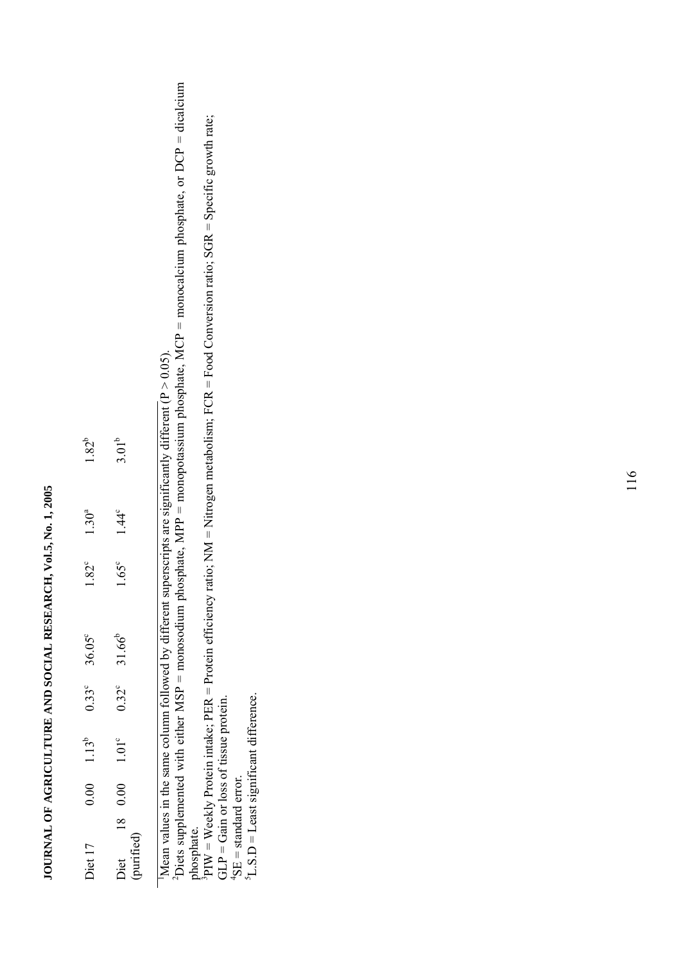# JOURNAL OF AGRICULTURE AND SOCIAL RESEARCH, Vol.5, No. 1, 2005 **JOURNAL OF AGRICULTURE AND SOCIAL RESEARCH, Vol.5, No. 1, 2005**

| Diet 17            | 0.00 | $1.13^{b}$     | $0.33^\circ$   | 36.05°      | $1.82^{\circ}$ | $1.30^{a}$     | $1.82^{b}$ |
|--------------------|------|----------------|----------------|-------------|----------------|----------------|------------|
| 'vurified,<br>Diet | 0.00 | $1.01^{\circ}$ | $0.32^{\circ}$ | $31.66^{b}$ | $1.65^{\circ}$ | $1.44^{\circ}$ | $3.01^{b}$ |

Mean values in the same column followed by different superscripts are significantly different ( $P > 0.05$ ). Mean values in the same column followed by different superscripts are significantly different ( $P > 0.05$ ).

2Diets supplemented with either MSP = monosodium phosphate, MPP = monopotassium phosphate, MCP = monocalcium phosphate, or DCP = dicalcium  $2$ Diets supplemented with either MSP = monosodium phosphate, MPP = monopotassium phosphate, MCP = monocalcium phosphate, or DCP = dicalcium phosphate. phosphate.

 ${}^{3}$ PIW = Weekly Protein intake; PER = Protein efficiency ratio; NM = Nitrogen metabolism; FCR = Food Conversion ratio; SGR = Specific growth rate; PIW = Weekly Protein intake; PER = Protein efficiency ratio; NM = Nitrogen metabolism; FCR = Food Conversion ratio; SGR = Specific growth rate;  $GLP =$  Gain or loss of tissue protein.  $GLP = Ga$  or loss of tissue protein.

 ${}^{4}$ SE = standard error.

 ${}^{4}SE$  = standard error.<br><sup>5</sup>L.S.D = Least significant difference. 5L.S.D = Least significant difference.